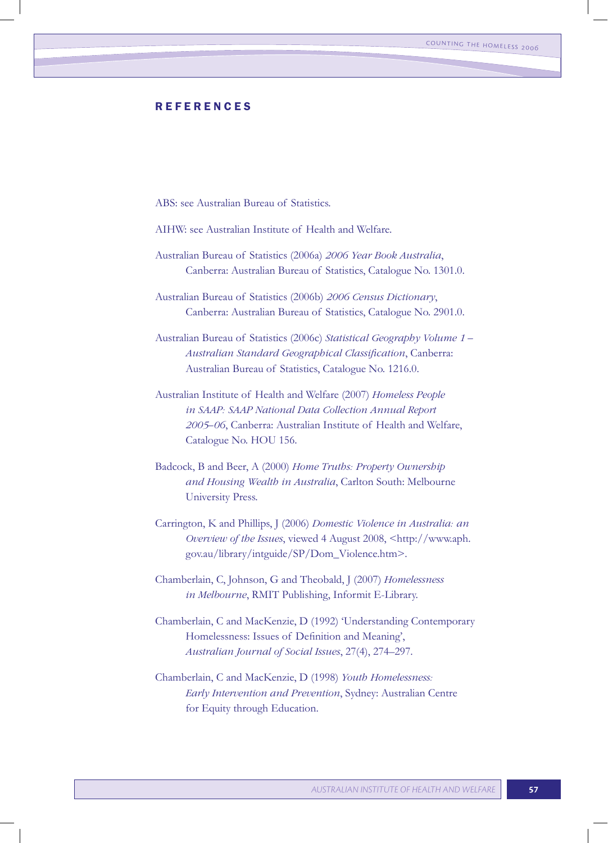## **REFERENCES**

ABS: see Australian Bureau of Statistics.

- AIHW: see Australian Institute of Health and Welfare.
- Australian Bureau of Statistics (2006a) *2006 Year Book Australia*, Canberra: Australian Bureau of Statistics, Catalogue No. 1301.0.

Australian Bureau of Statistics (2006b) *2006 Census Dictionary*, Canberra: Australian Bureau of Statistics, Catalogue No. 2901.0.

Australian Bureau of Statistics (2006c) *Statistical Geography Volume 1 – Australian Standard Geographical Classification*, Canberra: Australian Bureau of Statistics, Catalogue No. 1216.0.

- Australian Institute of Health and Welfare (2007) *Homeless People in SAAP: SAAP National Data Collection Annual Report 2005–06*, Canberra: Australian Institute of Health and Welfare, Catalogue No. HOU 156.
- Badcock, B and Beer, A (2000) *Home Truths: Property Ownership and Housing Wealth in Australia*, Carlton South: Melbourne University Press.
- Carrington, K and Phillips, J (2006) *Domestic Violence in Australia: an Overview of the Issues*, viewed 4 August 2008, <http://www.aph. gov.au/library/intguide/SP/Dom\_Violence.htm>.

Chamberlain, C, Johnson, G and Theobald, J (2007) *Homelessness in Melbourne*, RMIT Publishing, Informit E-Library.

- Chamberlain, C and MacKenzie, D (1992) 'Understanding Contemporary Homelessness: Issues of Definition and Meaning', *Australian Journal of Social Issues*, 27(4), 274–297.
- Chamberlain, C and MacKenzie, D (1998) *Youth Homelessness: Early Intervention and Prevention*, Sydney: Australian Centre for Equity through Education.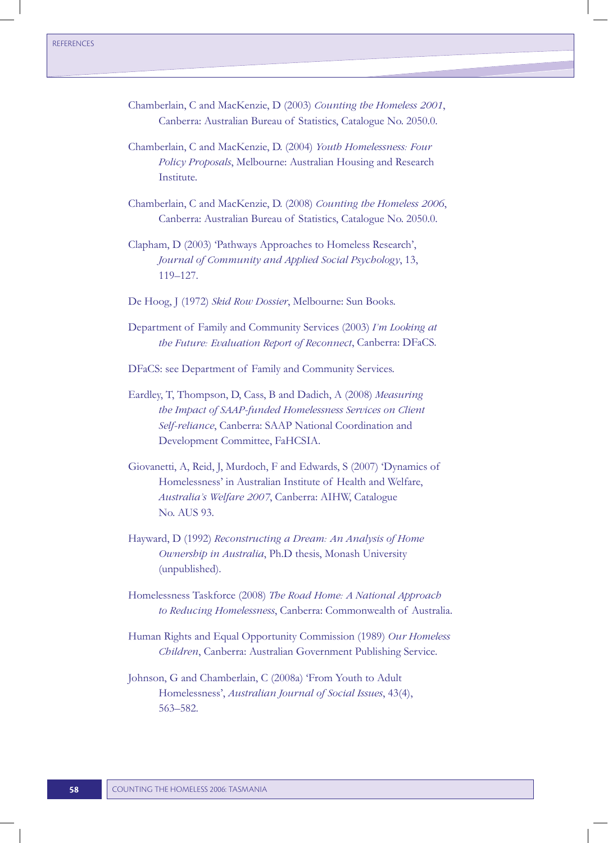- Chamberlain, C and MacKenzie, D (2003) *Counting the Homeless 2001*, Canberra: Australian Bureau of Statistics, Catalogue No. 2050.0.
- Chamberlain, C and MacKenzie, D. (2004) *Youth Homelessness: Four Policy Proposals*, Melbourne: Australian Housing and Research Institute.
- Chamberlain, C and MacKenzie, D. (2008) *Counting the Homeless 2006*, Canberra: Australian Bureau of Statistics, Catalogue No. 2050.0.
- Clapham, D (2003) 'Pathways Approaches to Homeless Research', *Journal of Community and Applied Social Psychology*, 13, 119–127.
- De Hoog, J (1972) *Skid Row Dossier*, Melbourne: Sun Books.
- Department of Family and Community Services (2003) *I'm Looking at the Future: Evaluation Report of Reconnect*, Canberra: DFaCS.

DFaCS: see Department of Family and Community Services.

- Eardley, T, Thompson, D, Cass, B and Dadich, A (2008) *Measuring the Impact of SAAP-funded Homelessness Services on Client Self-reliance*, Canberra: SAAP National Coordination and Development Committee, FaHCSIA.
- Giovanetti, A, Reid, J, Murdoch, F and Edwards, S (2007) 'Dynamics of Homelessness' in Australian Institute of Health and Welfare, *Australia's Welfare 2007*, Canberra: AIHW, Catalogue No. AUS 93.
- Hayward, D (1992) *Reconstructing a Dream: An Analysis of Home Ownership in Australia*, Ph.D thesis, Monash University (unpublished).

Homelessness Taskforce (2008) *The Road Home: A National Approach to Reducing Homelessness*, Canberra: Commonwealth of Australia.

- Human Rights and Equal Opportunity Commission (1989) *Our Homeless Children*, Canberra: Australian Government Publishing Service.
- Johnson, G and Chamberlain, C (2008a) 'From Youth to Adult Homelessness', *Australian Journal of Social Issues*, 43(4), 563–582.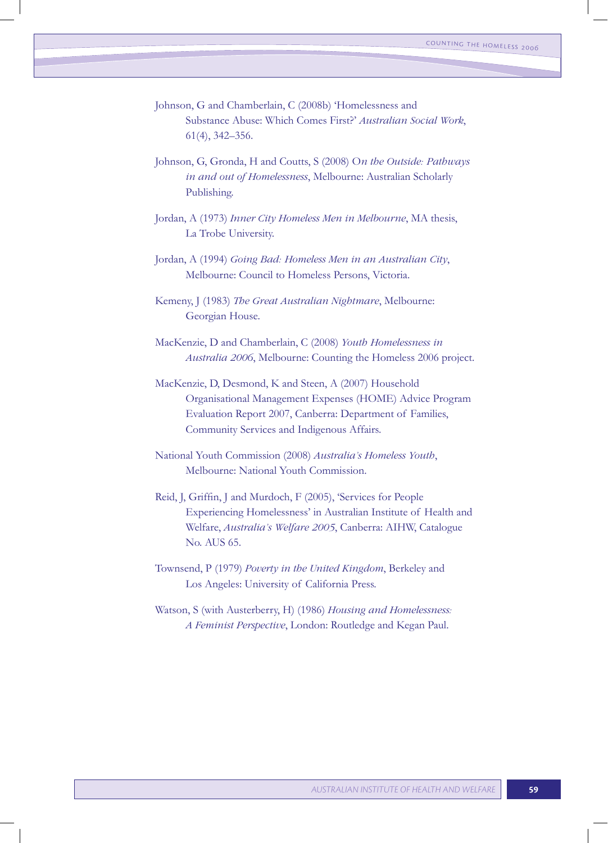- Johnson, G and Chamberlain, C (2008b) 'Homelessness and Substance Abuse: Which Comes First?' *Australian Social Work*, 61(4), 342–356.
- Johnson, G, Gronda, H and Coutts, S (2008) O*n the Outside: Pathways in and out of Homelessness*, Melbourne: Australian Scholarly Publishing.
- Jordan, A (1973) *Inner City Homeless Men in Melbourne*, MA thesis, La Trobe University.
- Jordan, A (1994) *Going Bad: Homeless Men in an Australian City*, Melbourne: Council to Homeless Persons, Victoria.
- Kemeny, J (1983) *The Great Australian Nightmare*, Melbourne: Georgian House.
- MacKenzie, D and Chamberlain, C (2008) *Youth Homelessness in Australia 2006*, Melbourne: Counting the Homeless 2006 project.
- MacKenzie, D, Desmond, K and Steen, A (2007) Household Organisational Management Expenses (HOME) Advice Program Evaluation Report 2007, Canberra: Department of Families, Community Services and Indigenous Affairs.
- National Youth Commission (2008) *Australia's Homeless Youth*, Melbourne: National Youth Commission.
- Reid, J, Griffin, J and Murdoch, F (2005), 'Services for People Experiencing Homelessness' in Australian Institute of Health and Welfare, *Australia's Welfare 2005*, Canberra: AIHW, Catalogue No. AUS 65.
- Townsend, P (1979) *Poverty in the United Kingdom*, Berkeley and Los Angeles: University of California Press.
- Watson, S (with Austerberry, H) (1986) *Housing and Homelessness: A Feminist Perspective*, London: Routledge and Kegan Paul.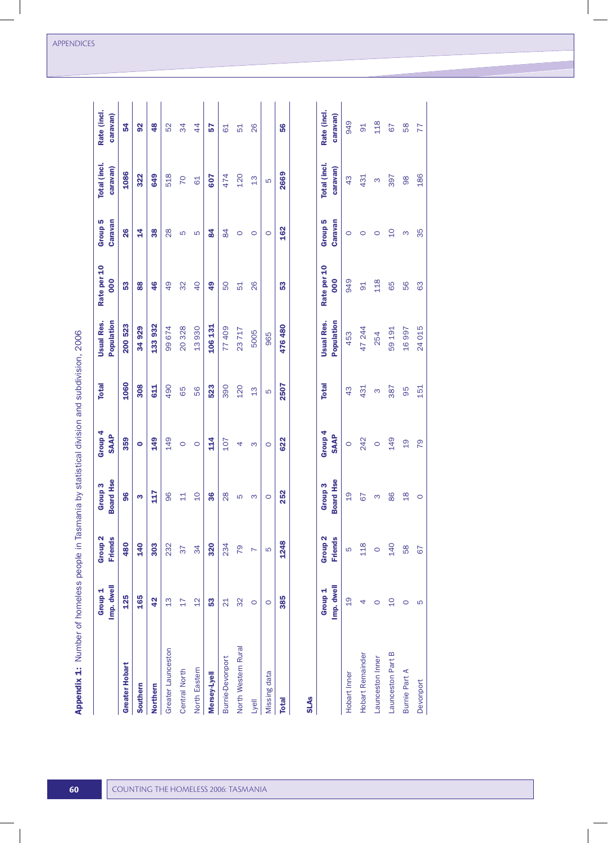|                         | Imp. dwell<br>Group <sub>1</sub> | Group <sub>2</sub><br><b>Friends</b> | <b>Board Hse</b><br>Group <sub>3</sub> | Group 4<br><b>SAAP</b> | <b>Total</b> | <b>Usual Res.</b><br>Population | Rate per 10<br>000 | Group <sub>5</sub><br>Caravan | Total (incl.<br>caravan) | Rate (incl.<br>caravan) |
|-------------------------|----------------------------------|--------------------------------------|----------------------------------------|------------------------|--------------|---------------------------------|--------------------|-------------------------------|--------------------------|-------------------------|
| <b>Greater Hobart</b>   | 125                              | 480                                  | 96                                     | 359                    | 1060         | 200 523                         | 53                 | 26                            | 1086                     | 54                      |
| Southern                | 165                              | 140                                  | ო                                      | $\bullet$              | 308          | 34929                           | 88                 | $\frac{4}{7}$                 | 322                      | $\frac{2}{3}$           |
| Northern                | 42                               | 303                                  | 117                                    | <b>249</b>             | 611          | 133932                          | 46                 | 38                            | 649                      | 48                      |
| Greater Launceston      | $\frac{3}{2}$                    | 232                                  | 96                                     | 149                    | 490          | 99674                           | 49                 | $\frac{8}{2}$                 | 518                      | 52                      |
| <b>Central North</b>    | $\overline{17}$                  | 37                                   | $\overline{11}$                        | $\circ$                | 65           | 20 328                          | 32                 | S                             | 70                       | 34                      |
| North Eastern           | $\frac{2}{1}$                    | $\overline{34}$                      | $\overline{0}$                         | $\circ$                | 56           | 13930                           | $\overline{0}$     | 5                             | 61                       | $\overline{4}$          |
| Mersey-Lyell            | 53                               | 320                                  | 36                                     | $\frac{14}{1}$         | 523          | 106 131                         | 49                 | $\overline{8}$                | <b>209</b>               | 57                      |
| <b>Burnie-Devonport</b> | $\overline{21}$                  | 234                                  | 28                                     | 107                    | 390          | 77409                           | 50                 | 84                            | 474                      | 61                      |
| North Western Rural     | 32                               | 79                                   | 5                                      | 4                      | 120          | 23717                           | 51                 | $\circ$                       | 120                      | 51                      |
| Lyell                   | $\circ$                          | N                                    | S                                      | S                      | 13           | 5005                            | 26                 | $\circ$                       | 13                       | 26                      |
| Missing data            | $\circ$                          | LO                                   | $\circ$                                | $\circ$                | Б            | 965                             |                    | $\circ$                       | S                        |                         |
| <b>Total</b>            | 385                              | 1248                                 | 252                                    | 622                    | 2507         | 476480                          | 53                 | 162                           | 2669                     | 56                      |
| <b>SLAs</b>             |                                  |                                      |                                        |                        |              |                                 |                    |                               |                          |                         |
|                         | Imp. dwell<br>Group <sub>1</sub> | Group <sub>2</sub><br><b>Friends</b> | <b>Board Hse</b><br>Group <sub>3</sub> | Group 4<br><b>SAAP</b> | <b>Total</b> | <b>Usual Res.</b><br>Population | Rate per 10<br>000 | Group <sub>5</sub><br>Caravan | Total (incl.<br>caravan) | Rate (incl.<br>caravan) |
| Hobart Inner            | $\frac{0}{1}$                    | ပြ                                   | $\frac{0}{1}$                          | $\circ$                | 43           | 453                             | 949                | $\circ$                       | 43                       | 949                     |
| Hobart Remainder        | 4                                | 118                                  | 67                                     | 242                    | 431          | 47 244                          | $\overline{5}$     | $\circ$                       | 431                      | $\overline{6}$          |

 $\circ$ 

 $\circ$ 

 $\infty$ 

 $\begin{array}{cc}\n 128 \\
67 \\
88 \\
77\n \end{array}$ 

397

 $0$   $9$   $0$   $8$ 

6<br>6<br>6<br>6<br>8

16 997<br>24 015

95<br>151

 $149$ <br> $19$ <br> $79$ 

 $\begin{array}{ccc} \circ & \circ & \circ \\ \circ & \circ & \circ \end{array}$ 

140<br>58<br>67

Launceston Part B Launceston Inner

Burnie Part A Devonport

59 191 254

387

 $\infty$ 

118

98<br>186

| )<br> <br>                                                   |
|--------------------------------------------------------------|
| ć                                                            |
|                                                              |
|                                                              |
|                                                              |
|                                                              |
|                                                              |
|                                                              |
|                                                              |
| 3                                                            |
|                                                              |
|                                                              |
|                                                              |
|                                                              |
|                                                              |
|                                                              |
|                                                              |
|                                                              |
|                                                              |
|                                                              |
|                                                              |
| silidilid Dy Statistical                                     |
|                                                              |
|                                                              |
|                                                              |
|                                                              |
|                                                              |
|                                                              |
|                                                              |
|                                                              |
|                                                              |
|                                                              |
|                                                              |
|                                                              |
|                                                              |
|                                                              |
| I                                                            |
| we hamalace nania in Tacmania hu statistichinisinn and sunaw |
|                                                              |
|                                                              |
|                                                              |
|                                                              |
|                                                              |
|                                                              |
|                                                              |
|                                                              |
|                                                              |
|                                                              |
|                                                              |
|                                                              |
|                                                              |
| $\frac{2}{1}$                                                |
|                                                              |
| ;<br>.                                                       |
|                                                              |
|                                                              |
|                                                              |
|                                                              |
|                                                              |
|                                                              |
| $\frac{1}{2}$                                                |
|                                                              |
|                                                              |
|                                                              |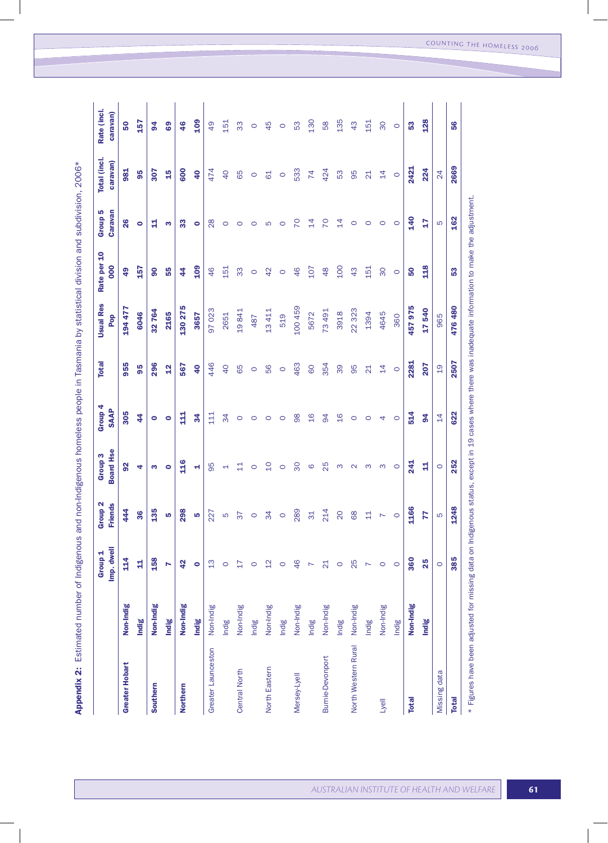Appendix 2: Estimated number of Indigenous and non-Indigenous homeless people in Tasmania by statistical division and subdivision, 2006\* Appendix 2: Estimated number of Indigenous and non-Indigenous homeless people in Tasmania by statistical division and subdivision, 2006\*

|                                                                                                                                                       |           | Imp. dwell<br>Group <sub>1</sub> | roup <sub>2</sub><br><b>Friends</b><br>ය<br>щ | <b>Board Hse</b><br>Group <sub>3</sub> | Group 4<br><b>SAAP</b> | <b>Total</b>    | <b>Usual Res</b><br>Pop | Rate per 10<br>000 | Group <sub>5</sub><br>Caravan | Total (incl.<br>caravan) | Rate (incl.<br>caravan) |
|-------------------------------------------------------------------------------------------------------------------------------------------------------|-----------|----------------------------------|-----------------------------------------------|----------------------------------------|------------------------|-----------------|-------------------------|--------------------|-------------------------------|--------------------------|-------------------------|
| <b>Greater Hobart</b>                                                                                                                                 | Non-Indig | 114                              | 444                                           | $\overline{9}$                         | 305                    | 955             | 194 477                 | $\frac{9}{4}$      | 26                            | 981                      | 50                      |
|                                                                                                                                                       | Indig     | 廿                                | 36                                            | 4                                      | 44                     | 95              | 6046                    | 157                | $\bullet$                     | 95                       | 157                     |
| Southern                                                                                                                                              | Non-Indig | 158                              | 135                                           | m                                      | $\bullet$              | 296             | 32 764                  | 8                  | 뉰                             | 307                      | $\overline{5}$          |
|                                                                                                                                                       | Indig     | N                                | LQ                                            | $\bullet$                              | ۰                      | $\frac{2}{3}$   | 2165                    | 55                 | m                             | 15                       | 69                      |
| Northern                                                                                                                                              | Non-Indig | 42                               | 298                                           | 116                                    | $\frac{11}{2}$         | 567             | 130 275                 | 44                 | 33                            | 600                      | 46                      |
|                                                                                                                                                       | Indig     | $\bullet$                        | LO,                                           | ч                                      | $\frac{34}{5}$         | $\overline{4}$  | 3657                    | 109                | ۰                             | $\overline{4}$           | 109                     |
| Greater Launceston                                                                                                                                    | Non-Indig | $\frac{3}{2}$                    | 227                                           | 95                                     | 11 <sub>1</sub>        | 446             | 97023                   | 46                 | $\frac{8}{2}$                 | 474                      | 49                      |
|                                                                                                                                                       | Indig     | $\circ$                          | S                                             | ⊣                                      | 34                     | $\overline{40}$ | 2651                    | 151                | $\circ$                       | $\overline{40}$          | 151                     |
| <b>Central North</b>                                                                                                                                  | Non-Indig | $\overline{17}$                  | 76                                            | 릨                                      | $\circ$                | 65              | 19841                   | 33                 | $\circ$                       | 65                       | 33                      |
|                                                                                                                                                       | Indig     | $\circ$                          | $\circ$                                       | $\circ$                                | $\circ$                | $\circ$         | 487                     | $\circ$            | $\circ$                       | $\circ$                  | $\circ$                 |
| North Eastern                                                                                                                                         | Non-Indig | $\overline{2}$                   | 34                                            | $\overline{C}$                         | $\circ$                | 56              | 13411                   | 42                 | Б                             | 61                       | 45                      |
|                                                                                                                                                       | Indig     | $\circ$                          | $\circ$                                       | $\circ$                                | $\circ$                | $\circ$         | 519                     | $\circ$            | $\circ$                       | $\circ$                  | $\circ$                 |
| Mersey-Lyell                                                                                                                                          | Non-Indig | 46                               | 289                                           | 30                                     | 98                     | 463             | 100459                  | 46                 | P <sub>2</sub>                | 533                      | 53                      |
|                                                                                                                                                       | Indig     | N                                | 31                                            | $\circ$                                | $\frac{6}{1}$          | 60              | 5672                    | 107                | $\overline{4}$                | 74                       | 130                     |
| <b>Burnie-Devonport</b>                                                                                                                               | Non-Indig | $\overline{21}$                  | 214                                           | 25                                     | 94                     | 354             | 73491                   | $\frac{8}{3}$      | 70                            | 424                      | 58                      |
|                                                                                                                                                       | Indig     | $\circ$                          | $\overline{20}$                               | ო                                      | $\frac{6}{1}$          | 39              | 3918                    | 100                | $\overline{4}$                | 53                       | 135                     |
| North Western Rural                                                                                                                                   | Non-Indig | 25                               | 68                                            | $\mathbf{\Omega}$                      | $\circ$                | 95              | 22 323                  | 43                 | $\circ$                       | 95                       | 43                      |
|                                                                                                                                                       | Indig     | $\overline{ }$                   | $\Xi$                                         | S                                      | $\circ$                | $\overline{21}$ | 1394                    | 151                | $\circ$                       | $\overline{\mathcal{L}}$ | 151                     |
| Lyell                                                                                                                                                 | Non-Indig | $\circ$                          |                                               | S                                      | 4                      | $\overline{4}$  | 4645                    | 30                 | $\circ$                       | $\overline{4}$           | 80                      |
|                                                                                                                                                       | Indig     | $\circ$                          | $\circ$                                       | $\circ$                                | $\circ$                | $\circ$         | 360                     | $\circ$            | $\circ$                       | $\circ$                  | $\circ$                 |
| <b>Total</b>                                                                                                                                          | Non-Indig | 360                              | 1166                                          | $\frac{241}{2}$                        | 514                    | 2281            | 457975                  | 50                 | <b>140</b>                    | 2421                     | <b>S</b>                |
|                                                                                                                                                       | Indig     | 25                               | 77                                            | 4                                      | 94                     | 207             | 17540                   | <b>118</b>         | 27                            | 224                      | 128                     |
| Missing data                                                                                                                                          |           | $\circ$                          | LO                                            | $\circ$                                | $\overline{4}$         | $\frac{0}{1}$   | 965                     |                    | S                             | 24                       |                         |
| <b>Total</b>                                                                                                                                          |           | 385                              | 1248                                          | 252                                    | 622                    | 2507            | 476480                  | 53                 | 162                           | 2669                     | 56                      |
| * Figures have been adjusted for missing data on Indigenous status, except in 19 cases where there was inadequate information to make the adjustment. |           |                                  |                                               |                                        |                        |                 |                         |                    |                               |                          |                         |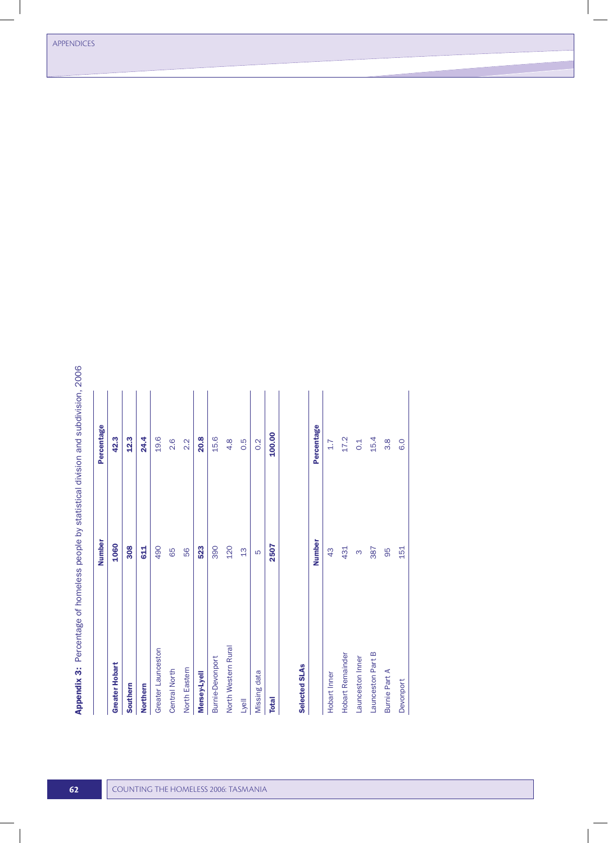|                  | Number<br>1060<br>308<br>490<br>523<br>390<br>120<br><b>G11</b><br>56<br>65<br>$\frac{3}{1}$<br>ယ |                         |
|------------------|---------------------------------------------------------------------------------------------------|-------------------------|
| 100.00           | 2507                                                                                              | <b>Total</b>            |
| 0.2              |                                                                                                   | Missing data            |
| 0.5              |                                                                                                   | Lyell                   |
| $\frac{8}{4}$    |                                                                                                   | North Western Rural     |
| 15.6             |                                                                                                   | <b>Burnie-Devonport</b> |
| <b>20.8</b>      |                                                                                                   | Mersey-Lyell            |
| $2.\overline{2}$ |                                                                                                   | North Eastern           |
| 2.6              |                                                                                                   | <b>Central North</b>    |
| 19.6             |                                                                                                   | Greater Launceston      |
| 24.4             |                                                                                                   | Northern                |
| 12.3             |                                                                                                   | Southern                |
| 42.3             |                                                                                                   | <b>Greater Hobart</b>   |
| Percentage       |                                                                                                   |                         |

## Selected SLAs Selected SLAs

|                      | <b>Number</b> | Percentage        |
|----------------------|---------------|-------------------|
| Hobart Inner         | $\frac{3}{4}$ | 1.7               |
| Hobart Remainder     | 431           | 17.2              |
| Launceston Inner     |               | $\frac{1}{2}$     |
| Launceston Part B    | 387           | 15.4              |
| <b>Burnie Part A</b> | 95            | 8.6               |
| <b>Devonport</b>     | 151           | $\overline{6}$ .0 |